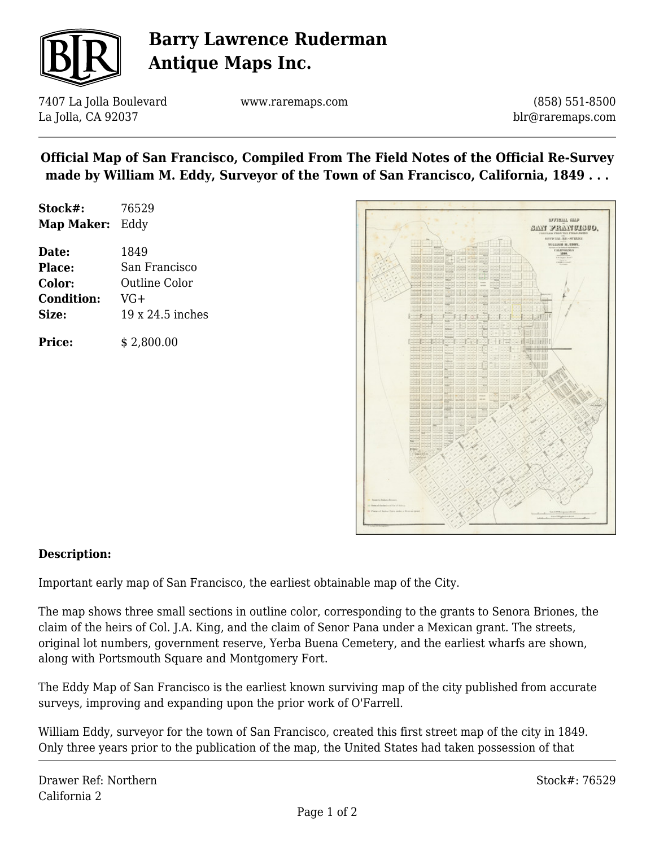

# **Barry Lawrence Ruderman Antique Maps Inc.**

7407 La Jolla Boulevard La Jolla, CA 92037

www.raremaps.com

(858) 551-8500 blr@raremaps.com

## **Official Map of San Francisco, Compiled From The Field Notes of the Official Re-Survey made by William M. Eddy, Surveyor of the Town of San Francisco, California, 1849 . . .**

| Stock#:    | 76529 |
|------------|-------|
| Map Maker: | Eddy  |

**Date:** 1849 **Place:** San Francisco **Color:** Outline Color **Condition:** VG+ **Size:** 19 x 24.5 inches

**Price:**  $$2,800.00$ 



#### **Description:**

Important early map of San Francisco, the earliest obtainable map of the City.

The map shows three small sections in outline color, corresponding to the grants to Senora Briones, the claim of the heirs of Col. J.A. King, and the claim of Senor Pana under a Mexican grant. The streets, original lot numbers, government reserve, Yerba Buena Cemetery, and the earliest wharfs are shown, along with Portsmouth Square and Montgomery Fort.

The Eddy Map of San Francisco is the earliest known surviving map of the city published from accurate surveys, improving and expanding upon the prior work of O'Farrell.

William Eddy, surveyor for the town of San Francisco, created this first street map of the city in 1849. Only three years prior to the publication of the map, the United States had taken possession of that